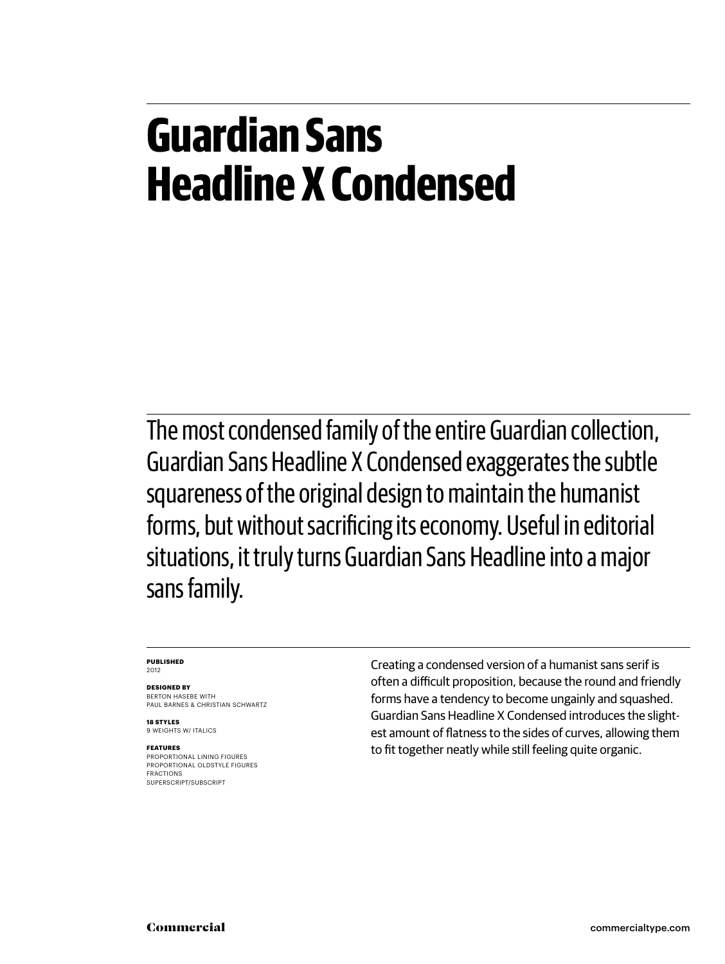#### **Guardian Sans Headline X Condensed**

The most condensed family of the entire Guardian collection, Guardian Sans Headline X Condensed exaggerates the subtle squareness of the original design to maintain the humanist forms, but without sacrificing its economy. Useful in editorial situations, it truly turns Guardian Sans Headline into a major sans family.

#### **Published** 2012

**Designed by**

BERTON HASEBE WITH Paul Barnes & Christian Schwartz

**18 styles** 9 weights w/ italics

#### **Features**

proportional lining figures proportional oldstyle figures fractions superscript/subscript

Creating a condensed version of a humanist sans serif is often a difficult proposition, because the round and friendly forms have a tendency to become ungainly and squashed. Guardian Sans Headline X Condensed introduces the slightest amount of flatness to the sides of curves, allowing them to fit together neatly while still feeling quite organic.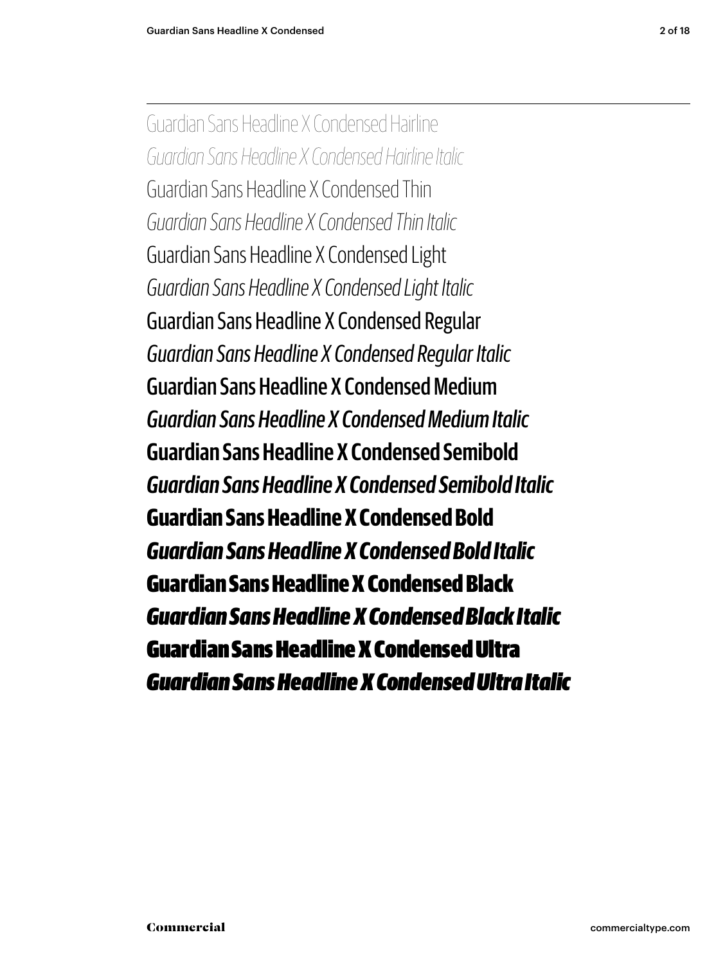Guardian Sans Headline X Condensed Hairline *Guardian Sans Headline X Condensed Hairline Italic* Guardian Sans Headline X Condensed Thin *Guardian Sans Headline X Condensed Thin Italic* Guardian Sans Headline X Condensed Light *Guardian Sans Headline X Condensed Light Italic* Guardian Sans Headline X Condensed Regular *Guardian Sans Headline X Condensed Regular Italic* Guardian Sans Headline X Condensed Medium *Guardian Sans Headline X Condensed Medium Italic* **Guardian Sans Headline X Condensed Semibold** *Guardian Sans Headline X Condensed Semibold Italic* **Guardian Sans Headline X Condensed Bold** *Guardian Sans Headline X Condensed Bold Italic* Guardian Sans Headline X Condensed Black *Guardian Sans Headline X Condensed Black Italic* Guardian Sans Headline X Condensed Ultra *Guardian Sans Headline X Condensed Ultra Italic*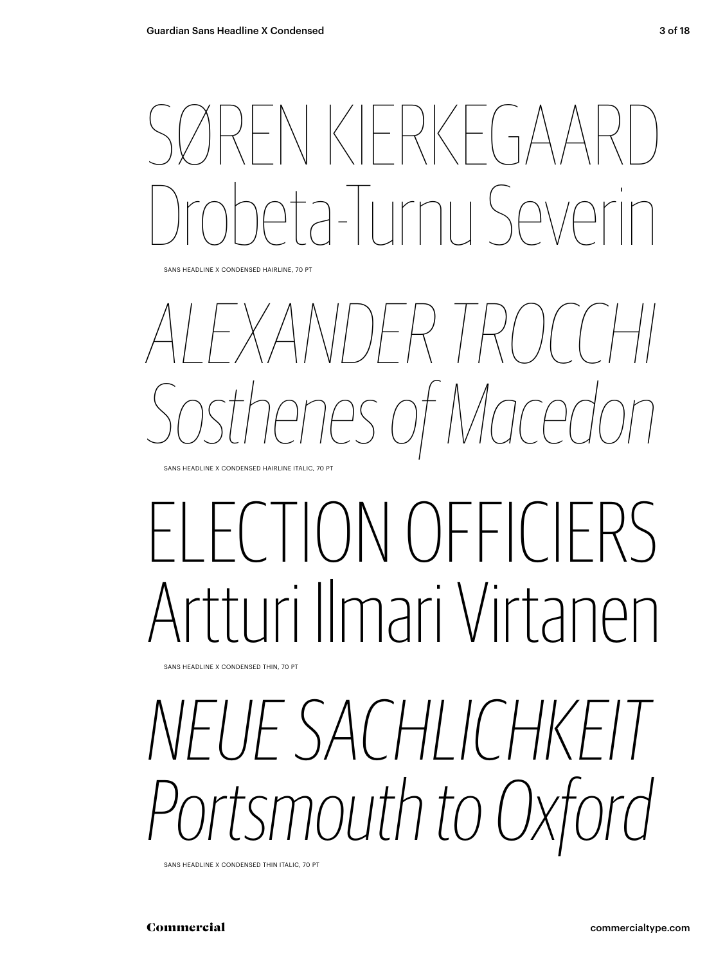## NKIFRKFGA  $2-1$ || $m$ || $S$

sans Headline x condensed HAIRLINE, 70 pt

## *Alexander Trocchi Sosthenes of Macedon*

sans Headline x condensed HAIRLINE Italic, 70 pt

## $T$ CONOFFIC Artturi Ilmari Virtanen

sans Headline x condensed THIN, 70 pt

## *Neue Sachlichkeit Portsmouth to Oxford*

sans Headline x condensed THIN italic, 70 pt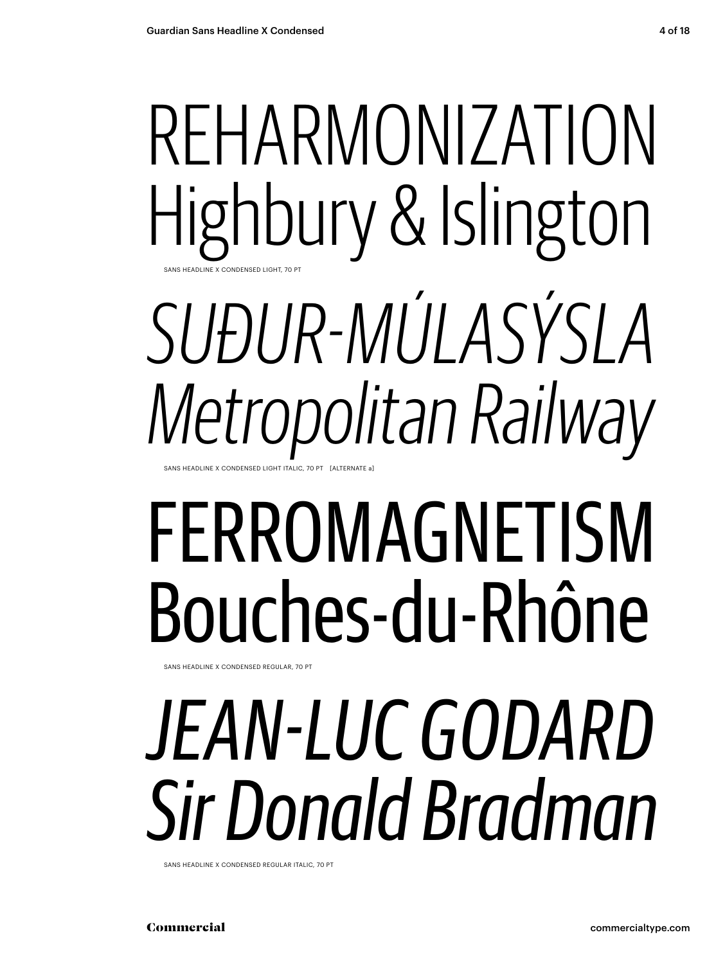## reharmonization Highbury & Islington sans Headline x condensed LIGHT, 70 pt *Suður-Múlasýsla*

*Metropolitan Railway* SANS HEADLINE X CONDENSED LIGHT ITALIC. 70 PT

# ferromagnetism Bouches-du-Rhône

sans Headline x condensed REGULAr, 70 pt

# *Jean-Luc Godard Sir Donald Bradman*

sans Headline x condensed REGULAR italic, 70 pt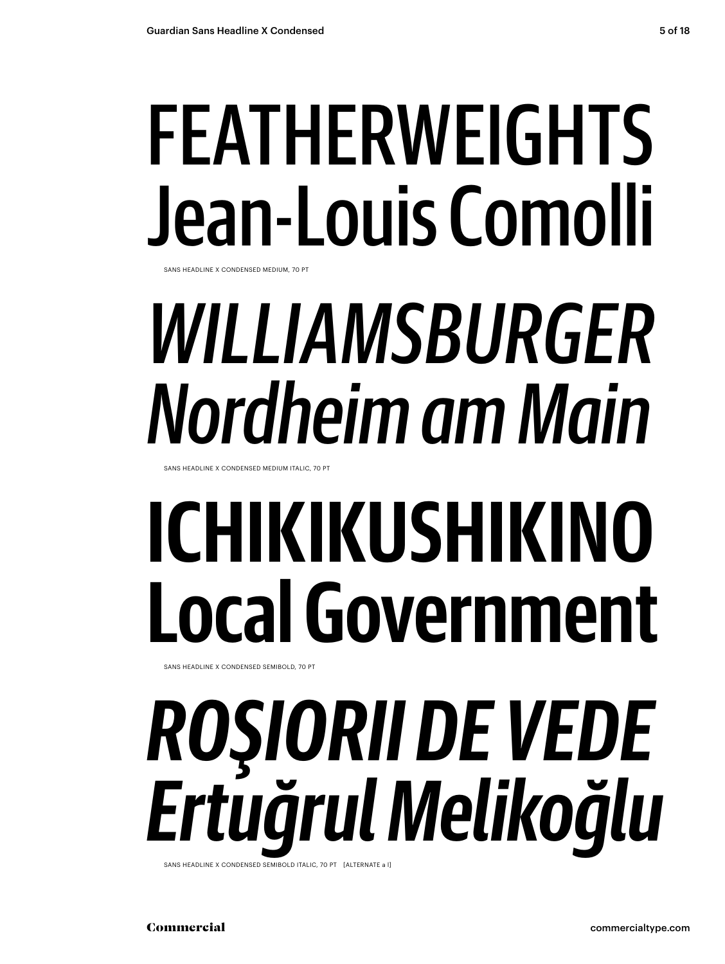# featherweights Jean-Louis Comolli

sans Headline x condensed MEDIUM, 70 pt

# *Williamsburger Nordheim am Main*

sans Headline x condensed MEDIUM Italic, 70 pt

# **Ichikikushikino Local Government**

sans Headline x condensed SEMIBOLD, 70 pt

# *Roşiorii de Vede Ertuğrul Melikoğlu*

SANS HEADLINE X CONDENSED SEMIBOLD ITALIC, 70 PT [ALTERNATE a l]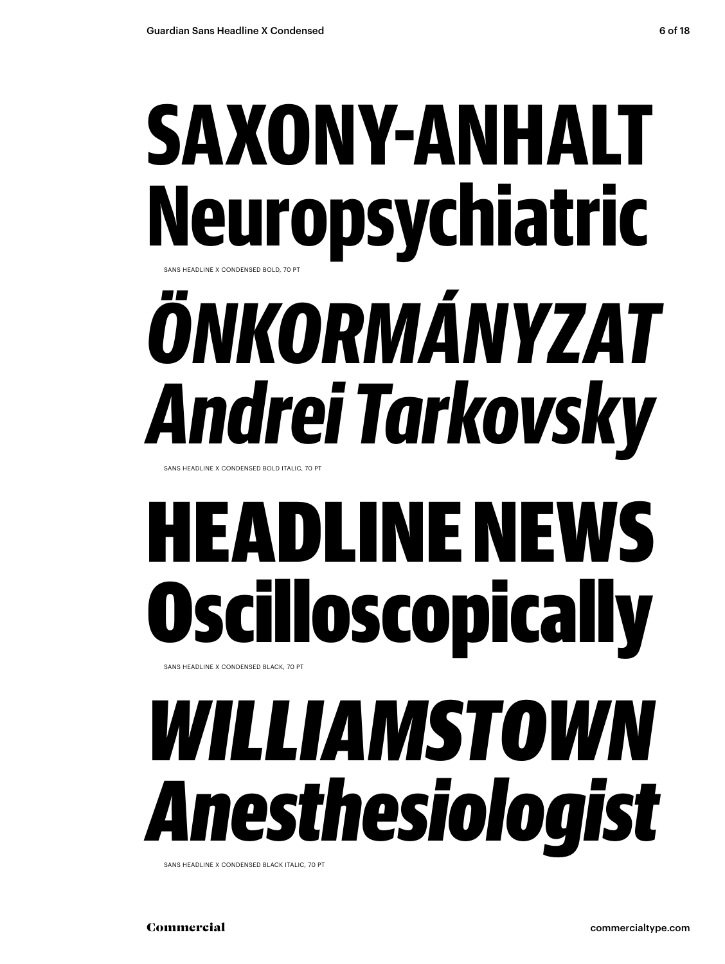## SAXONY-ANHA **Neuropsychiatric** sans Headline x condensed BOLD, 70 pt

# *Önkormányzat Andrei Tarkovsky*

sans Headline x condensed BOLD Italic, 70 pt

# EADLINE NEW Oscilloscopically

sans Headline x condensed BLACK, 70 pt

## *Williamstown Anesthesiologist*

sans Headline x condensed BLACK italic, 70 pt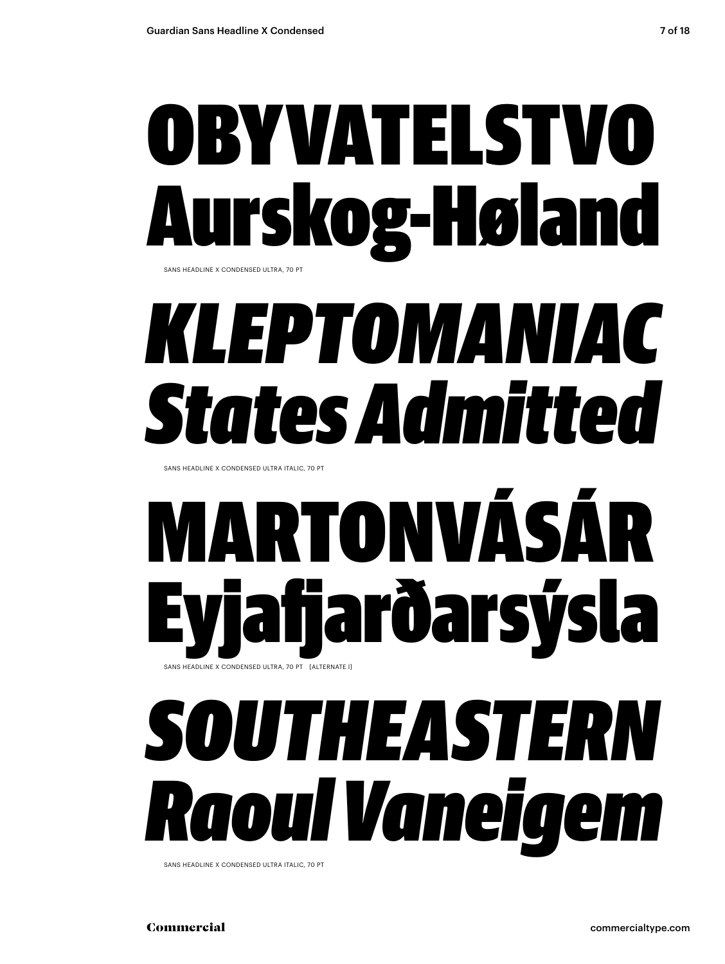# OBYVATELSTV Aurskog-Høland

sans Headline x condensed ULTRA, 70 pt

## *kleptomaniac States Admitted*

sans Headline x condensed ULTRA Italic, 70 pt

## RTONVÁSÁ Eyjafjarðarsýsla SANS HEADLINE X CONDENSED ULTRA, 70 PT [ALTERNATE I]

## *southeastern R aoul V aneigem*

SANS HEADLINE X CONDENSED ULTRA ITALIC, 70 PT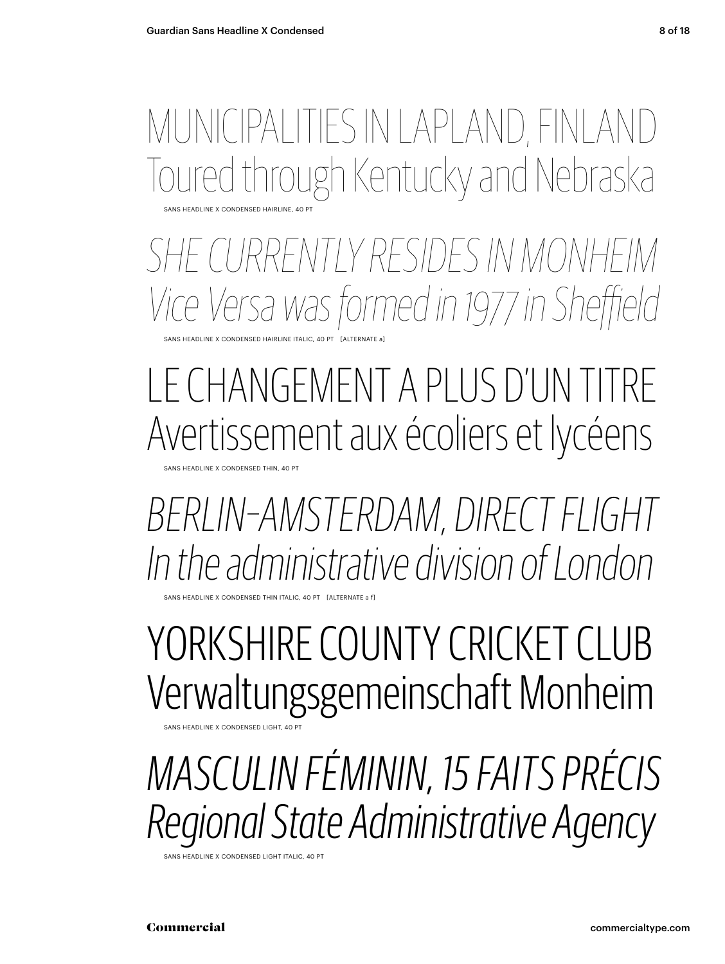#### sans Headline x condensed HAIRLINE, 40 pt Municipalities in Lapland, finland Irough Kentucky and Nebraska

*she currently residesin monheim Vice Versa was formed in 1977 in Sheffield*

SANS HEADLINE X CONDENSED HAIRLINE ITALIC, 40 PT [ALTERNATE a

#### Le Changement a plus d'un titre Avertissement aux écoliers et lycéens

SANS HEADLINE X CONDENSED THIN, 40 PT

*berlin–amsterdam, direct flight In the administrative division of London*

HEADLINE X CONDENSED THIN ITALIC, 40 PT [ALTERNATE a f

#### Yorkshire County Cricket Club Verwaltungsgemeinschaft Monheim

sans Headline x condensed light, 40 pt

## *Masculin Féminin, 15 faits précis Regional State Administrative Agency*

SANS HEADLINE X CONDENSED LIGHT ITALIC, 40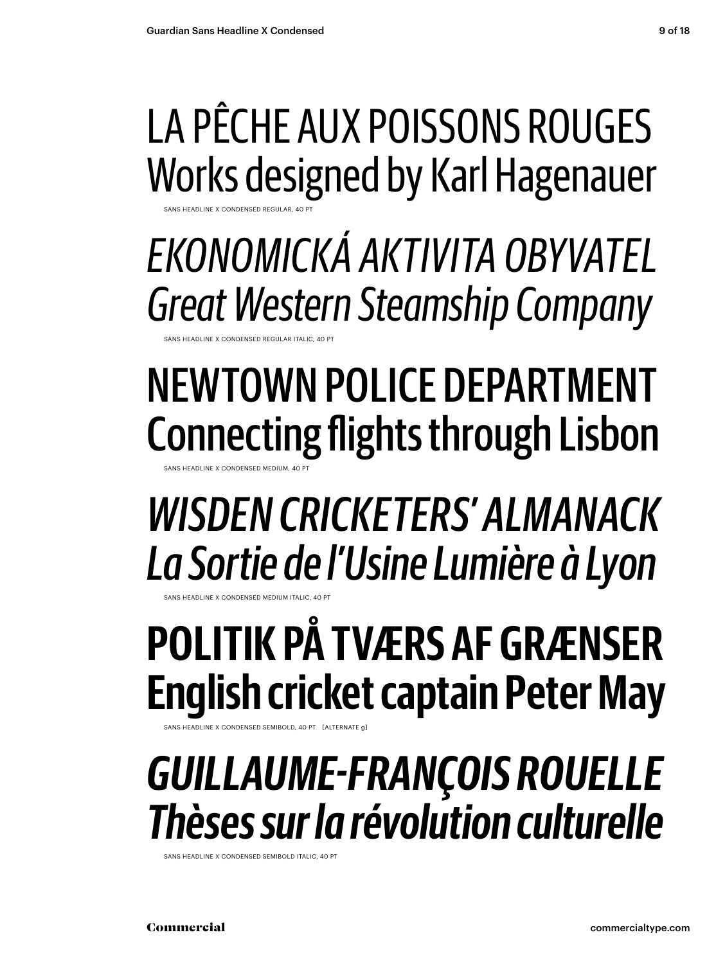### La Pêche aux poissons rouges Works designed by Karl Hagenauer

sans Headline x condensed regular, 40 pt

*Ekonomická aktivita obyvatel Great Western Steamship Company*

SANS HEADLINE X CONDENSED REGULAR ITALIC

## newtown Police Department Connecting flights through Lisbon

SANS HEADLINE X CONDENSED MEDIUM, 40

*Wisden Cricketers' Almanack La Sortie de l'Usine Lumière à Lyon* 

SANS HEADLINE X CONDENSED MEDIU

## **Politik på tværs af grænser English cricket captain Peter May**

sans Headline x condensed semibold, 40 pt [alternate g]

### *Guillaume-François Rouelle Thèses sur la révolution culturelle*

SANS HEADLINE X CONDENSED SEMIBOLD ITALIC, 40 PT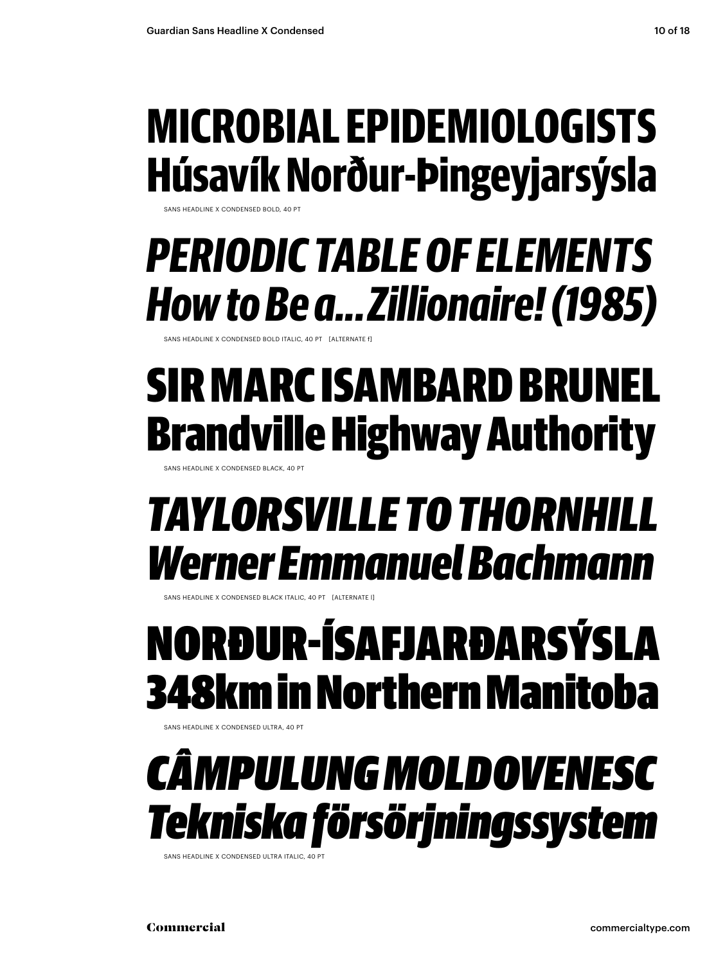### **Microbial epidemiologists Húsavík Norður-Þingeyjarsýsla**

SANS HEADLINE X CONDENSED BOLD, 40 PT

### *periodic table of elements How to Be a... Zillionaire! (1985)*

SANS HEADLINE X CONDENSED BOLD ITALIC, 40 PT [ALTERNATE f

### Sir Marc Isambard Brunel Brandville Highway Authority

sans Headline x condensed black, 40 pt

### *Taylorsville to thornhill Werner Emmanuel Bachmann*

SANS HEADLINE X CONDENSED BLACK ITALIC, 40 PT [ALTERNATE

### Norður-Ísafjarðarsýsla 348km in Northern Manitoba

sans Headline x condensed ultra, 40 pt

### *CâmpulungMoldovenesc Tekniska försörjningssystem*

sans Headline x condensed ultra Italic, 40 pt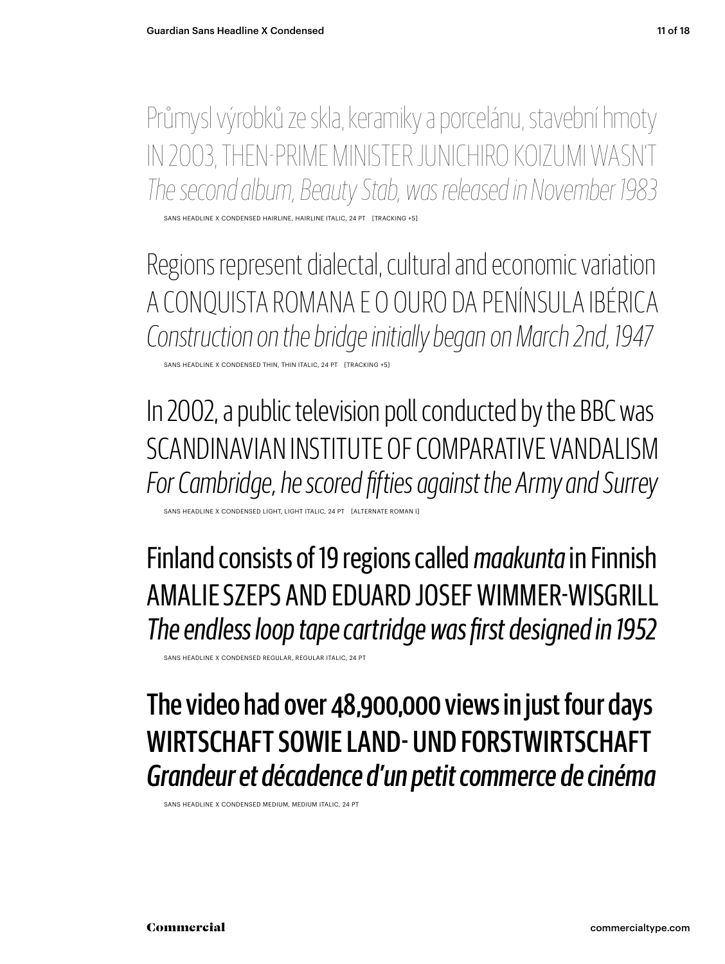Průmysl výrobků ze skla, keramiky a porcelánu, stavební hmoty In 2003, then-Prime Minister Junichiro Koizumi wasn't *The second album, Beauty Stab, was released in November 1983*

sans headline x condensed HAIRLINE, HAIRLINE Italic, 24 pt [tracking +5]

Regions represent dialectal, cultural and economic variation A conquista romana e o ouro da Península Ibérica *Construction on the bridge initially began on March 2nd, 1947*

sans headline x condensed THIN, THIN Italic, 24 pt [tracking +5]

In 2002, a public television poll conducted by the BBC was Scandinavian Institute of Comparative Vandalism *For Cambridge, he scored fifties against the Army and Surrey*

SANS HEADLINE X CONDENSED LIGHT, LIGHT ITALIC, 24 PT [ALTERNATE ROMAN I]

Finland consists of 19 regions called *maakunta* in Finnish Amalie Szeps and Eduard Josef Wimmer-Wisgrill *The endless loop tape cartridge was first designed in 1952*

sans headline x condensed REGULAR, REGULAR Italic, 24 pt

The video had over 48,900,000 views in just four days Wirtschaft sowie Land- und Forstwirtschaft *Grandeur et décadence d'un petit commerce de cinéma*

sans headline x condensed MEDIUM, MEDIUM Italic, 24 pt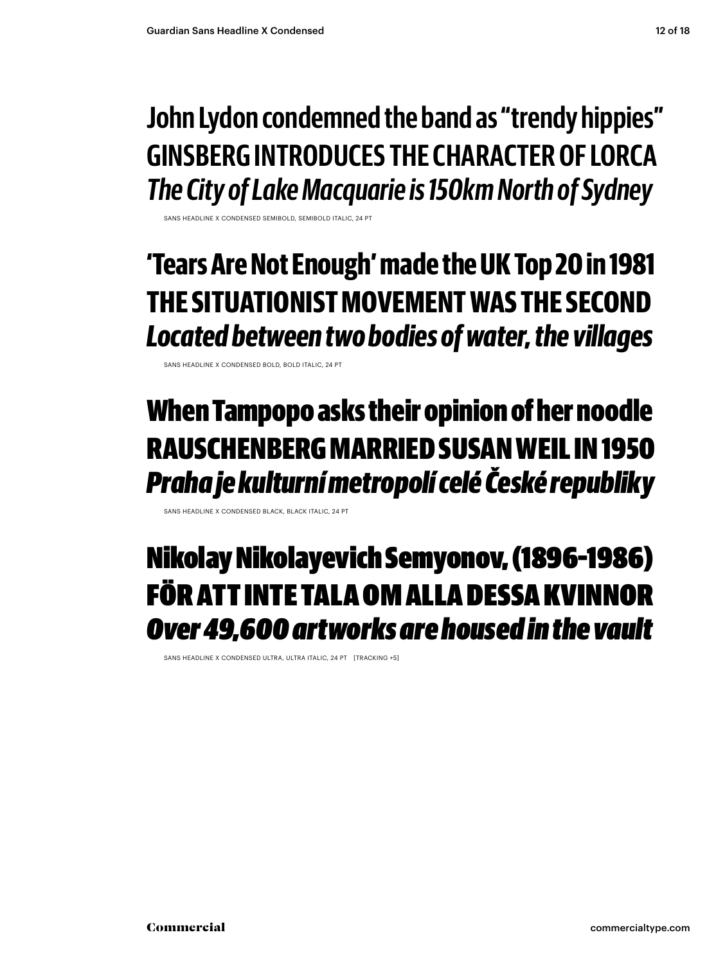**John Lydon condemned the band as "trendy hippies" Ginsberg introduces the character of Lorca** *The City of Lake Macquarie is 150km North of Sydney*

HEADLINE X CONDENSED SEMIBOLD, SEMIBOLD ITAL

#### **'Tears Are Not Enough' made the UK Top 20 in 1981 the situationistmovement was the second** *Located between two bodies of water, the villages*

sans headline x condensed bold, bold Italic, 24 pt

#### When Tampopo asks their opinion of her noodle Rauschenbergmarried SusanWeil in 1950 *Praha je kulturní metropolí celé České republiky*

sans headline x condensed black, black Italic, 24 pt

#### Nikolay Nikolayevich Semyonov, (1896–1986) För att inte tala om alla dessa kvinnor *Over 49,600 artworks are housed in the vault*

sans headline x condensed ultra, ultra Italic, 24 pt [tracking +5]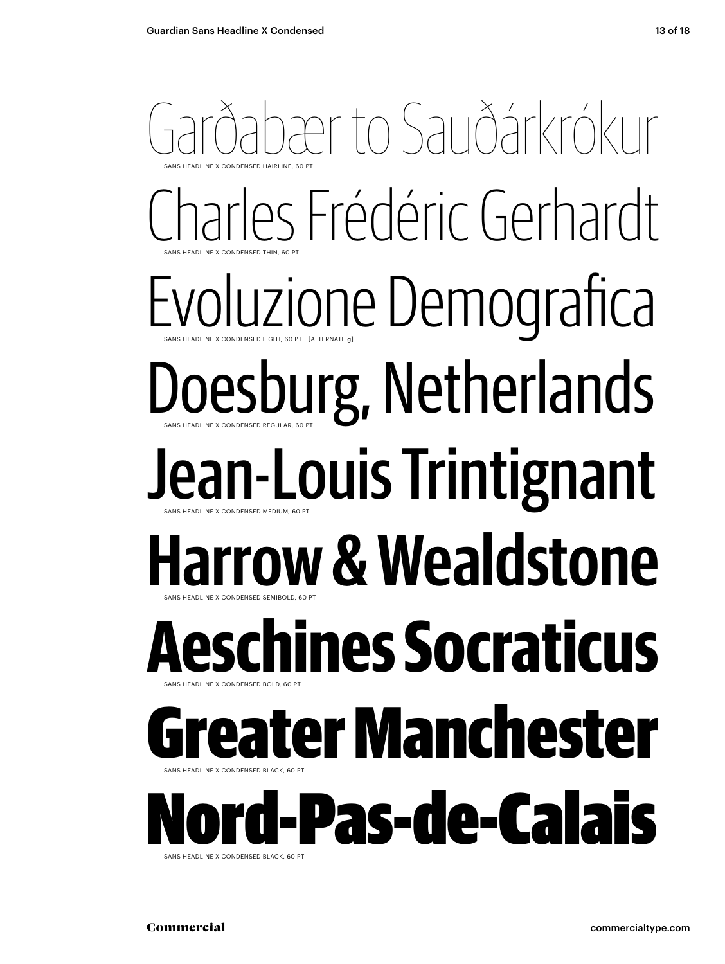#### abær to Sauðárkrókur sans Headline x condensed THIN, 60 pt sans Headline x condensed HAIRLINE, 60 pt Charles Frédéric Gerhardt Evoluzione Demografica sans Headline x condensed REGULAR, 60 pt sans Headline x condensed LIGHT, 60 pt [alternate g] Doesburg, Netherlands Jean-Louis Trintignant sans Headline x condensed SEMIBOLD, 60 pt sans Headline x condensed MEDIUM, 60 pt **Harrow & Wealdstone Aeschines Socraticus** sans Headline x condensed BLACK, 60 pt sans Headline x condensed BOLD, 60 pt eater Manchester SANS HEADLINE X **Vord-Pas-de-Calais**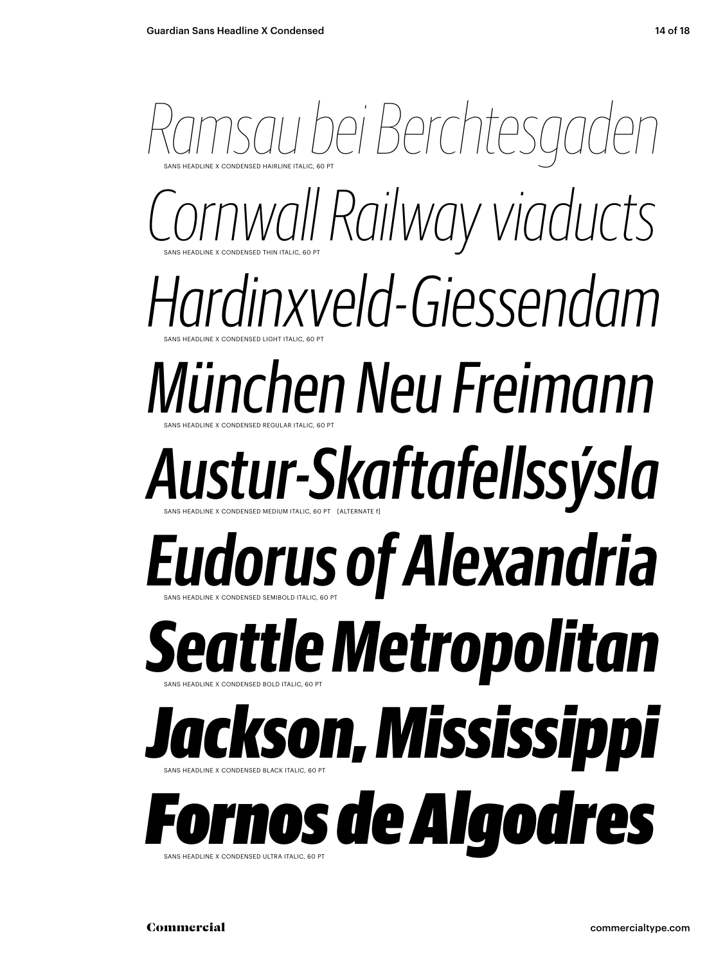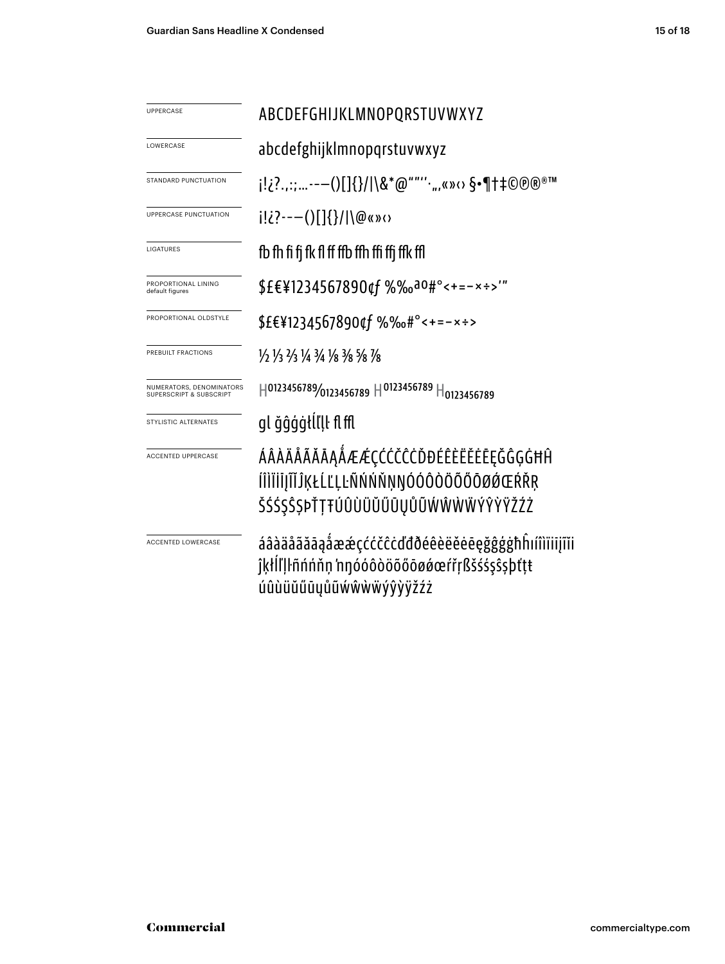| UPPERCASE                                           | ABCDEFGHIJKLMNOPQRSTUVWXYZ                                                                                           |
|-----------------------------------------------------|----------------------------------------------------------------------------------------------------------------------|
| LOWERCASE                                           | abcdefghijklmnopqrstuvwxyz                                                                                           |
| STANDARD PUNCTUATION                                | j!¿?.,:;-—()[]{}/ \&*@""'' ",«»⇔ §•¶†‡©®®™                                                                           |
| <b>UPPERCASE PUNCTUATION</b>                        | $i!i$ ?---()[]{}/ \@«»<                                                                                              |
| LIGATURES                                           | fb fh fi fi fk fl ff ffb ffh ffi ffi ffk ffl                                                                         |
| PROPORTIONAL LINING<br>default figures              | \$£€¥1234567890¢f %‰a0#°<+=-x÷>"                                                                                     |
| PROPORTIONAL OLDSTYLE                               | \$£€¥1234567890¢f %‰#°<+=-×÷>                                                                                        |
| PREBUILT FRACTIONS                                  | 1/2 1/3 2/3 1/4 3/4 1/8 3/8 5/8 7/8                                                                                  |
| NUMERATORS, DENOMINATORS<br>SUPERSCRIPT & SUBSCRIPT | $H^{0123456789}$ 0123456789 $H^{0123456789}$ $H_{0123456789}$                                                        |
| STYLISTIC ALTERNATES                                | gl ğĝģģtĺľļŀ fl ffl                                                                                                  |
| <b>ACCENTED UPPERCASE</b>                           | ÁÂÀÄÅÃĂĀĄÅÆÆÇĆĊČĊŎĐÉÊÈËĚĒĘĞĜĢĠĦĤ<br>ÍÎÌÏIIJĨĬĴĶŁĹĽĻĿÑŃŃŇŅŊÓÓÔŎÖŐŐŌØÓŒŔŘŖ<br>ŠŚŚŞŜŞÞŤŢŦÚÛÙÜŬŰŪŲŮŨŴŴŴŴÝŶŸŸŽŹŻ          |
| <b>ACCENTED LOWERCASE</b>                           | áâàäåãăāąåææçććčĉcďđðéêèëěeeeğĝģġħĥıíîìïiijĩĭi<br>ĵķłlľļŀñńńňn 'nŋóóôòöõőōøǿœŕřŗßšśśşŝşþťtŧ<br>úûùüŭűūyůũẃŵẁẅýŷỳÿžźż |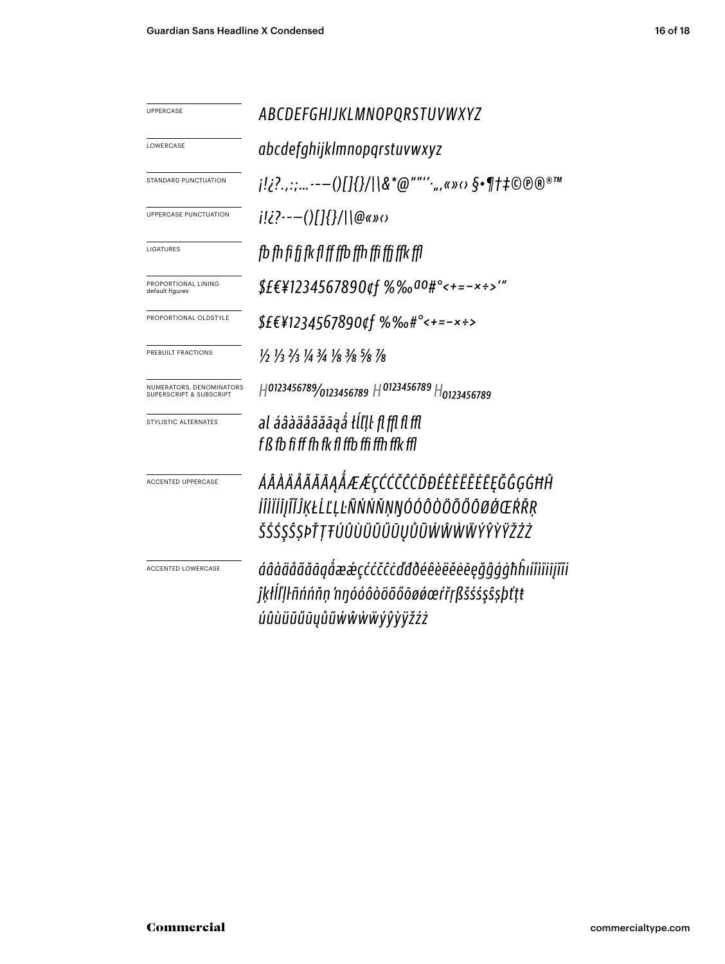| UPPERCASE                                           | ABCDEFGHIJKLMNOPQRSTUVWXYZ                                                                                           |
|-----------------------------------------------------|----------------------------------------------------------------------------------------------------------------------|
| LOWERCASE                                           | abcdefghijklmnopqrstuvwxyz                                                                                           |
| STANDARD PUNCTUATION                                |                                                                                                                      |
| UPPERCASE PUNCTUATION                               | i!¿?---()[]{}/ \@«»o                                                                                                 |
| LIGATURES                                           | fb fh fi fi fk fl ff ffb ffh ffi ffi ffk ffl                                                                         |
| PROPORTIONAL LINING<br>default figures              | \$£€¥1234567890¢f %‰ao#°<+=-×÷>'"                                                                                    |
| PROPORTIONAL OLDSTYLE                               | \$£€¥1234567890¢f %‰#°<+=-×÷>                                                                                        |
| PREBUILT FRACTIONS                                  | 1/2 1/3 2/3 1/4 3/4 1/8 3/8 5/8 1/8                                                                                  |
| NUMERATORS, DENOMINATORS<br>SUPERSCRIPT & SUBSCRIPT | H0123456789/0123456789 H0123456789 H0123456789                                                                       |
| STYLISTIC ALTERNATES                                | al áâàäåãăāaå tĺľḷŀ fl ffl fl ffl<br>f ß fb fi ff fh fk fl ffb ffi ffh ffk ffl                                       |
| <b>ACCENTED UPPERCASE</b>                           | ÁÂÀÄÅÃĂĀĄÅÆÆÇĆĆČĊĎĐÉÊÈËĚĒĘĞĜĢĠĦĤ<br>ÍÎÌÏİJĨĬĴĶŁĹĽĻĿÑŃŃŇŅŊÓÓÔŎÖŐŐŌØÓŒŔŘŖ                                              |
|                                                     | ŠŚŚŞŜŞÞŤŢŦÚÛÙÜŬŰŨŲŮŨŴŴŴŴŶŶŸŽŹŻ                                                                                       |
| <b>ACCENTED LOWERCASE</b>                           | áâàäåãăāąåææçććčĉcďđðéêèëĕēēęğĝģġħĥıíîìïiijĩĭi<br>ĵķłĺľļŀñńńňņ 'nŋóóôòöõőōøǿœŕřŗßšśśşŝşþťṭŧ<br>úûùüŭűūyůũẃŵẁẅýŷỳÿžźż |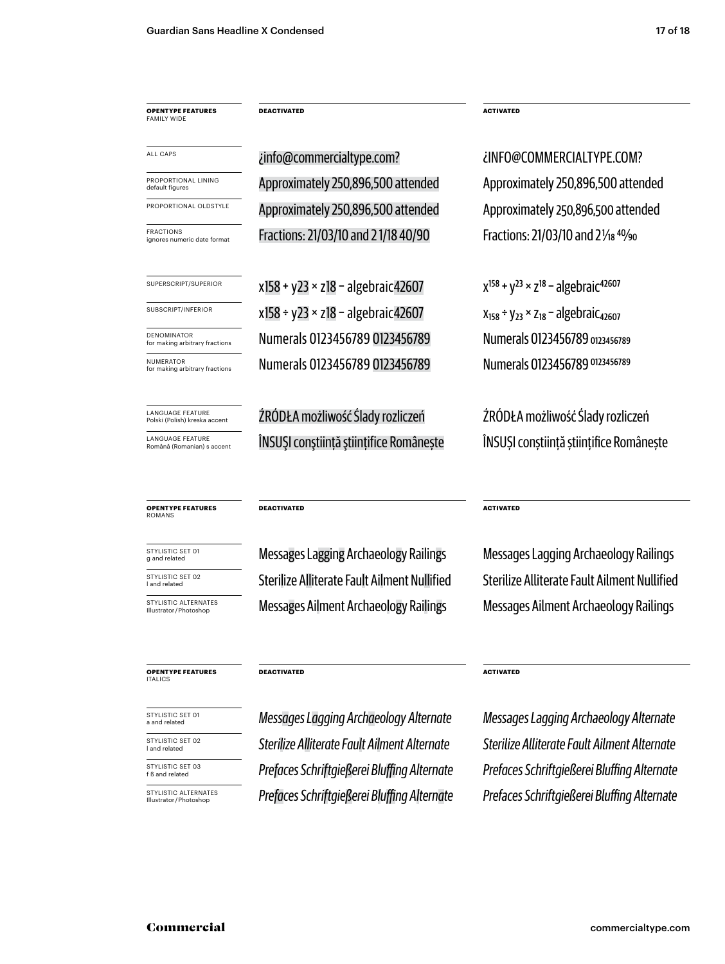**opentype FEATUREs** family wide

all caps

PROPORTIONAL LINING<br>default figures

FRACTIONS<br>ignores numeric date format

**NUMERATOR**<br>for making arbitrary fractions

LANGUAGE FEATURE<br>Polski (Polish) kreska accen

LANGUAGE FEATURE<br>Română (Romanian) s

**opentype FEATUREs** romans

STYLISTIC SET 01<br>g and related

STYLISTIC SET 02<br>I and related

STYLISTIC SET 03<br>f ß and related

STYLISTIC SET 01<br>a and related

STYLISTIC SET 02<br>I and related

STYLISTIC ALTERNATES<br>Illustrator/Photoshop

STYLISTIC ALTERNATES<br>Illustrator/Photoshop

**opentype FEATUREs**

italics

**DEACTIVATED ACTIVATED**

Fractions: 21/03/10 and 21/18 40/90 Fractions: 21/03/10 and 2 1/<sub>18</sub> 40/90 PROPORTIONAL OLDSTYLE Approximately 250,896,500 attended Approximately 250,896,500 attended

SUPERSCRIPT/SUPERIOR  $x158 + y23 \times z18 - a$  algebraic42607  $x^{158} + y^{23} \times z^{18} - a$  gebraic<sup>42607</sup> subscript/inferior x158 ÷ y23 × z18 − algebraic42607  $x_{158}$  ÷ y<sub>23</sub> × z<sub>18</sub> − algebraic<sub>42607</sub> for making arbitrary fractions Numerals 0123456789 0123456789 Numerals 0123456789 0123456789 DENOMINATOR **CENOMINATOR** 123456789 DENOMINATOR **DENOMINATOR** 123456789 **Numerals 0123456789** 0123456789

ŹRÓDŁA możliwość Ślady rozliczeń ŻRÓDŁA możliwość Ślady rozliczeń <sup>NTURE</sup> (ROMâneștiință științifice Românește ÎNSUȘI conștiință științifice Românește Însulat în Insulat comânește

Approximately 250,896,500 attended Approximately 250,896,500 attended ¿info@commercialtype.com? ¿info@commercialtype.com?

#### **DEACTIVATED ACTIVATED**

Messages Lagging Archaeology Railings Messages Lagging Archaeology Railings l and related Sterilize Alliterate Fault Ailment Nullified Sterilize Alliterate Fault Ailment Nullified Messages Ailment Archaeology Railings Messages Ailment Archaeology Railings

f ß and related *Prefaces Schriftgießerei Bluffing Alternate Prefaces Schriftgießerei Bluffing Alternate* a and related *Messages Lagging Archaeology Alternate Messages Lagging Archaeology Alternate* l and related *Sterilize Alliterate Fault Ailment Alternate Sterilize Alliterate Fault Ailment Alternate*

**DEACTIVATED ACTIVATED**

Illustrator / Photoshop *Prefaces Schriftgießerei Bluffing Alternate Prefaces Schriftgießerei Bluffing Alternate*